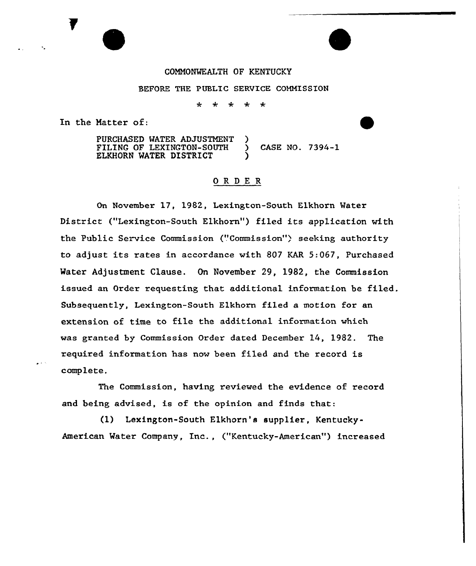### COMMONWEALTH OF KENTUCKY

#### BEFORE THE PUBLIC SERVICE COMMISSION

سيمه  $\star$  $\star$  $\star$  $\rightarrow$ 

In the Natter of:

PURCHASED WATER ADJUSTMENT FILING OF LEXINGTON-SOUTH ) CASE NO. 7394-1 ELKHORN MATER DISTRICT )

## ORDER

On November 17, 1982, Lexington-South Elkhorn Water District ("Lexington-South Elkhorn") filed its application with the Public Service Commission ("Commission") seeking authority to adjust its rates in accordance with 807 KAR 5:067, Purchased Water Adjustment Clause. On November 29, 1982, the Commission issued an Order requesting that additional information be filed. Subsequently, Lexington-South Elkhorn filed a motion for an extension of time to file the additional information which was granted by Commission Order dated December 14, 1982. The required information has now been filed and the record is complete.

The Commission, having reviewed the evidence of record and being advised, is of the opinion and finds that:

(1) Lexington-South Elkhorn's supplier, Kentucky-American Water Company, Inc., ("Kentucky-American") increased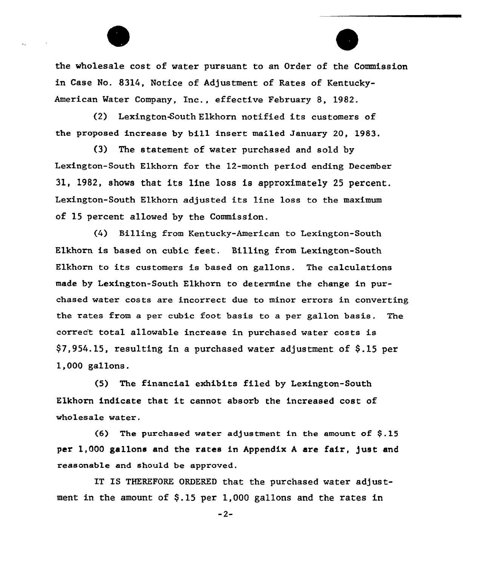

(2) Lexington~~outh Elkhorn notified its customers of the proposed increase by bill insert mailed January 20, 1983.

(3) The statement of water purchased and sold by Lexington-South Elkhorn for the 12-month period ending December 31, 1982, shows that its line loss is approximately <sup>25</sup> percent. Lexington-South Elkhorn adjusted its line loss to the maximum of 15 percent allowed by the Commission.

(4) Billing from Kentucky-American to Lexington-South Elkhorn is based on cubic feet. Billing from Lexington-South Elkhorn to its customers is based on gallons. The calculations made by Lexington-South Elkhorn to determine the change in purchased water costs are incorrect due to minor errors in converting the rates from a per cubic foot basis to a per gallon basis. The correc't total allowable increase in purchased water costs is  $$7,954.15$ , resulting in a purchased water adjustment of  $$.15$  per 1,000 gallons.

(5) The financial exhibits filed by Lexington-South Elkhorn indicate that it cannot absorb the increased cost of wholesale water.

(6) The purchased water adjustment in the amount of  $$.15$ per 1,000 gallons and the rates in Appendix A are fair, just and reasonable and should be approved.

IT IS THEREFORE ORDERED that the purchased water adjustment in the amount of  $$.15$  per 1,000 gallons and the rates in

 $-2-$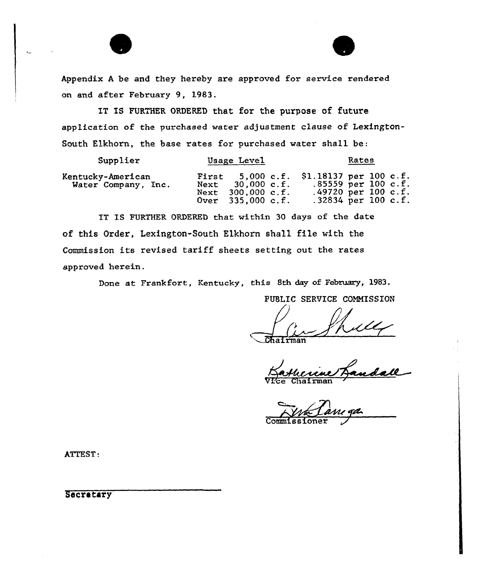

IT IS FURTHER ORDERED that for the purpose of future application of the purchased water adjustment clause of Lexington-South Elkhorn, the base rates for purchased water shall be:

| Supplier                                 | Usage Level                                                       | Rates                                                                                                            |  |
|------------------------------------------|-------------------------------------------------------------------|------------------------------------------------------------------------------------------------------------------|--|
| Kentucky-American<br>Water Company, Inc. | $30,000$ c.f.<br>Next<br>Next 300,000 c.f.<br>Over $335,000$ c.f. | First 5,000 c.f. \$1.18137 per 100 c.f.<br>$.85559$ per 100 c.f.<br>.49720 per $100$ c.f.<br>.32834 per 100 c.f. |  |

IT IS FURTHER ORDERED that within 30 days of the date of this Order, Lexington-South Elkhorn shall file with the Commission its revised tariff sheets setting out the rates approved herein.

Done at Frankfort, Kentucky, this 8th day of February, 1983.

PUBLIC SERVICE COMMISSION

 $\sqrt{$ Chairma

Vice Chairma

Commissioner

ATTEST:

**Secretary**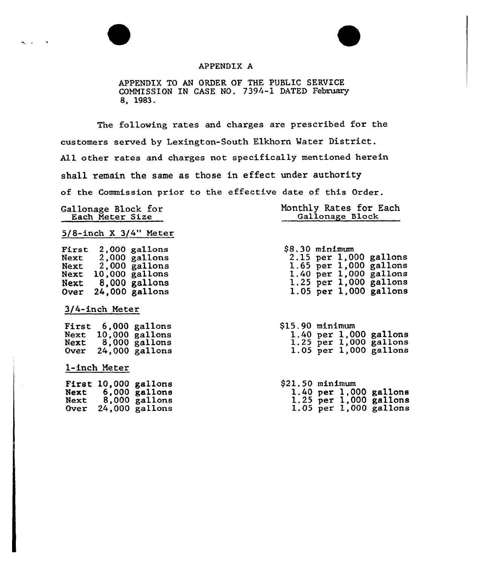## APPENDIX A

APPENDIX TO AN ORDER OF THE PUBLIC SERVICE<br>COMMISSION IN CASE NO. 7394-1 DATED Februar 8, 1983.

The following rates and charges are prescribed for the customers served by Lexington-South Elkhorn Mater District. All other rates and charges not specifically mentioned herein shall remain the same as those in effect under authority of the Commission prior to the effective date of this Order.

Gallonage Block for Each Meter Size

| Monthly Rates for Each |                 |  |
|------------------------|-----------------|--|
|                        | Gallonage Block |  |

5/8-inch <sup>X</sup> 3/4" Meter

First Next Next Next Next Over 24,000 gallon 2,000 gallon 2,000 gallon 2,000 gallon 10,000 gallon 8,000 gallons

3/4-inch Meter

First 6,000 gallon Next 10,000 Next 8,000 Over 24,000  $\frac{1}{2}$ gallon  $\frac{1}{2}$ gallon  $ga$ llon

1-inch Meter

|              | First 10,000 gallons             |
|--------------|----------------------------------|
| Next<br>Next | $6,000$ gallons<br>8,000 gallons |
| Over         | $24,000$ gallons                 |

| \$8.30 minimum |  |                            |
|----------------|--|----------------------------|
|                |  | 2.15 per 1,000 gallons     |
|                |  | 1.65 per 1,000 gallons     |
|                |  | $1.40$ per $1,000$ gallons |
|                |  | $1.25$ per $1,000$ gallons |
|                |  | 1.05 per 1,000 gallons     |

| \$15.90 minimum |  |                            |
|-----------------|--|----------------------------|
|                 |  | $1.40$ per $1,000$ gallons |
|                 |  | $1.25$ per $1,000$ gallons |
|                 |  | $1.05$ per $1,000$ gallons |

\$21.50 minimum 1.40 per 1,000 gallons 1.25 per 1,000 gallons 1.05 per 1,000 gallons